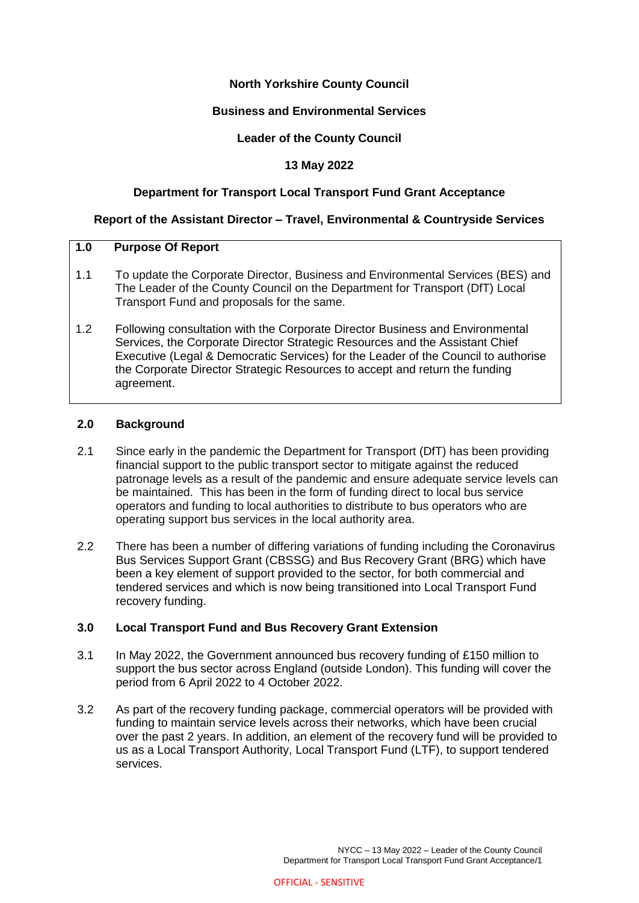# **North Yorkshire County Council**

### **Business and Environmental Services**

### **Leader of the County Council**

### **13 May 2022**

### **Department for Transport Local Transport Fund Grant Acceptance**

#### **Report of the Assistant Director – Travel, Environmental & Countryside Services**

#### **1.0 Purpose Of Report**

- 1.1 To update the Corporate Director, Business and Environmental Services (BES) and The Leader of the County Council on the Department for Transport (DfT) Local Transport Fund and proposals for the same.
- 1.2 Following consultation with the Corporate Director Business and Environmental Services, the Corporate Director Strategic Resources and the Assistant Chief Executive (Legal & Democratic Services) for the Leader of the Council to authorise the Corporate Director Strategic Resources to accept and return the funding agreement.

#### **2.0 Background**

- 2.1 Since early in the pandemic the Department for Transport (DfT) has been providing financial support to the public transport sector to mitigate against the reduced patronage levels as a result of the pandemic and ensure adequate service levels can be maintained. This has been in the form of funding direct to local bus service operators and funding to local authorities to distribute to bus operators who are operating support bus services in the local authority area.
- 2.2 There has been a number of differing variations of funding including the Coronavirus Bus Services Support Grant (CBSSG) and Bus Recovery Grant (BRG) which have been a key element of support provided to the sector, for both commercial and tendered services and which is now being transitioned into Local Transport Fund recovery funding.

#### **3.0 Local Transport Fund and Bus Recovery Grant Extension**

- 3.1 In May 2022, the Government announced bus recovery funding of £150 million to support the bus sector across England (outside London). This funding will cover the period from 6 April 2022 to 4 October 2022.
- 3.2 As part of the recovery funding package, commercial operators will be provided with funding to maintain service levels across their networks, which have been crucial over the past 2 years. In addition, an element of the recovery fund will be provided to us as a Local Transport Authority, Local Transport Fund (LTF), to support tendered services.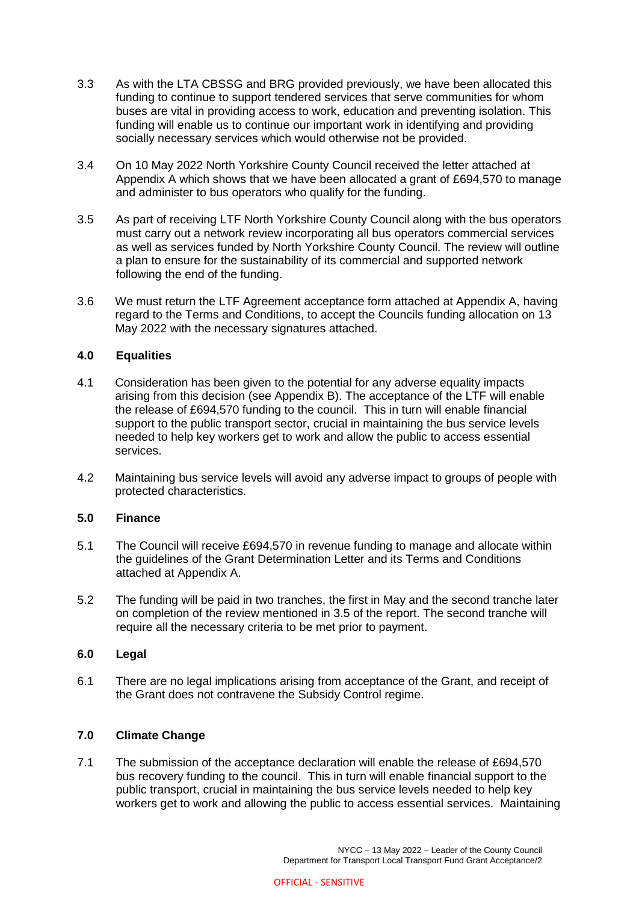- 3.3 As with the LTA CBSSG and BRG provided previously, we have been allocated this funding to continue to support tendered services that serve communities for whom buses are vital in providing access to work, education and preventing isolation. This funding will enable us to continue our important work in identifying and providing socially necessary services which would otherwise not be provided.
- 3.4 On 10 May 2022 North Yorkshire County Council received the letter attached at Appendix A which shows that we have been allocated a grant of £694,570 to manage and administer to bus operators who qualify for the funding.
- 3.5 As part of receiving LTF North Yorkshire County Council along with the bus operators must carry out a network review incorporating all bus operators commercial services as well as services funded by North Yorkshire County Council. The review will outline a plan to ensure for the sustainability of its commercial and supported network following the end of the funding.
- 3.6 We must return the LTF Agreement acceptance form attached at Appendix A, having regard to the Terms and Conditions, to accept the Councils funding allocation on 13 May 2022 with the necessary signatures attached.

### **4.0 Equalities**

- 4.1 Consideration has been given to the potential for any adverse equality impacts arising from this decision (see Appendix B). The acceptance of the LTF will enable the release of £694,570 funding to the council. This in turn will enable financial support to the public transport sector, crucial in maintaining the bus service levels needed to help key workers get to work and allow the public to access essential services.
- 4.2 Maintaining bus service levels will avoid any adverse impact to groups of people with protected characteristics.

### **5.0 Finance**

- 5.1 The Council will receive £694,570 in revenue funding to manage and allocate within the guidelines of the Grant Determination Letter and its Terms and Conditions attached at Appendix A.
- 5.2 The funding will be paid in two tranches, the first in May and the second tranche later on completion of the review mentioned in 3.5 of the report. The second tranche will require all the necessary criteria to be met prior to payment.

#### **6.0 Legal**

6.1 There are no legal implications arising from acceptance of the Grant, and receipt of the Grant does not contravene the Subsidy Control regime.

# **7.0 Climate Change**

7.1 The submission of the acceptance declaration will enable the release of £694,570 bus recovery funding to the council. This in turn will enable financial support to the public transport, crucial in maintaining the bus service levels needed to help key workers get to work and allowing the public to access essential services. Maintaining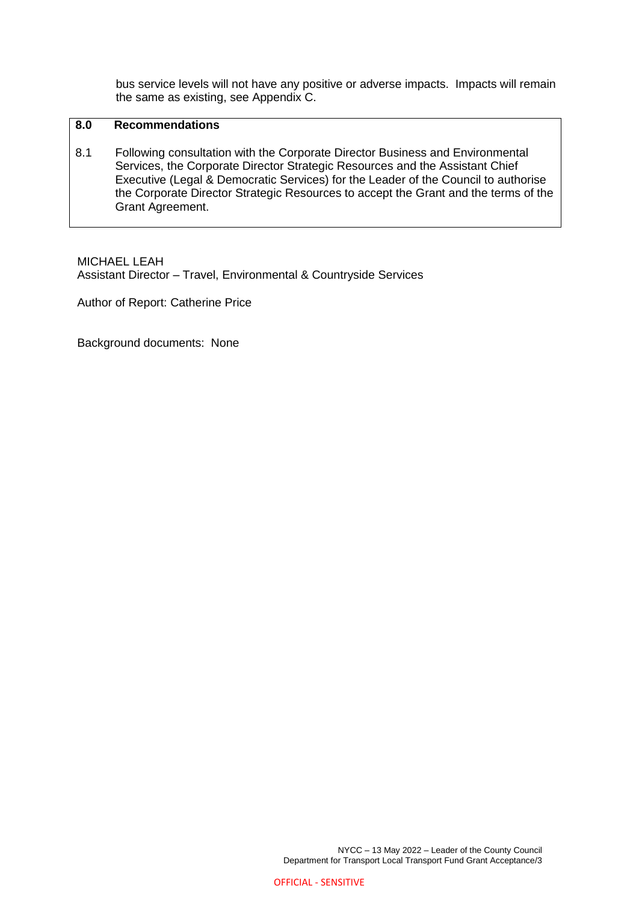bus service levels will not have any positive or adverse impacts. Impacts will remain the same as existing, see Appendix C.

# **8.0 Recommendations**

8.1 Following consultation with the Corporate Director Business and Environmental Services, the Corporate Director Strategic Resources and the Assistant Chief Executive (Legal & Democratic Services) for the Leader of the Council to authorise the Corporate Director Strategic Resources to accept the Grant and the terms of the Grant Agreement.

MICHAEL LEAH Assistant Director – Travel, Environmental & Countryside Services

Author of Report: Catherine Price

Background documents: None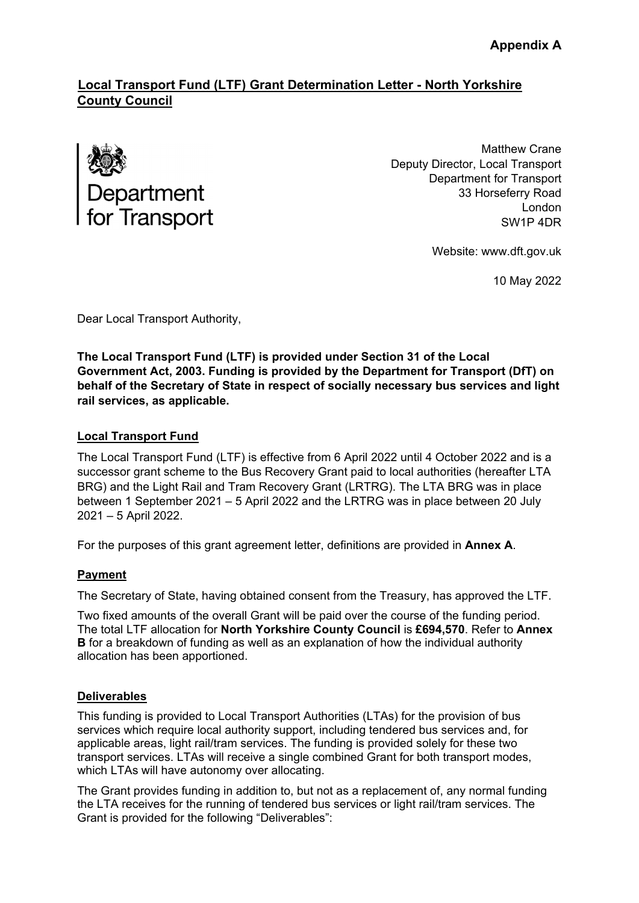# **Local Transport Fund (LTF) Grant Determination Letter - North Yorkshire County Council**



Matthew Crane Deputy Director, Local Transport Department for Transport 33 Horseferry Road London SW1P 4DR

Website: www.dft.gov.uk

10 May 2022

Dear Local Transport Authority,

**The Local Transport Fund (LTF) is provided under Section 31 of the Local Government Act, 2003. Funding is provided by the Department for Transport (DfT) on behalf of the Secretary of State in respect of socially necessary bus services and light rail services, as applicable.** 

# **Local Transport Fund**

The Local Transport Fund (LTF) is effective from 6 April 2022 until 4 October 2022 and is a successor grant scheme to the Bus Recovery Grant paid to local authorities (hereafter LTA BRG) and the Light Rail and Tram Recovery Grant (LRTRG). The LTA BRG was in place between 1 September 2021 – 5 April 2022 and the LRTRG was in place between 20 July 2021 – 5 April 2022.

For the purposes of this grant agreement letter, definitions are provided in **Annex A**.

# **Payment**

The Secretary of State, having obtained consent from the Treasury, has approved the LTF.

Two fixed amounts of the overall Grant will be paid over the course of the funding period. The total LTF allocation for **North Yorkshire County Council** is **£694,570**. Refer to **Annex B** for a breakdown of funding as well as an explanation of how the individual authority allocation has been apportioned.

### **Deliverables**

This funding is provided to Local Transport Authorities (LTAs) for the provision of bus services which require local authority support, including tendered bus services and, for applicable areas, light rail/tram services. The funding is provided solely for these two transport services. LTAs will receive a single combined Grant for both transport modes, which LTAs will have autonomy over allocating.

The Grant provides funding in addition to, but not as a replacement of, any normal funding the LTA receives for the running of tendered bus services or light rail/tram services. The Grant is provided for the following "Deliverables":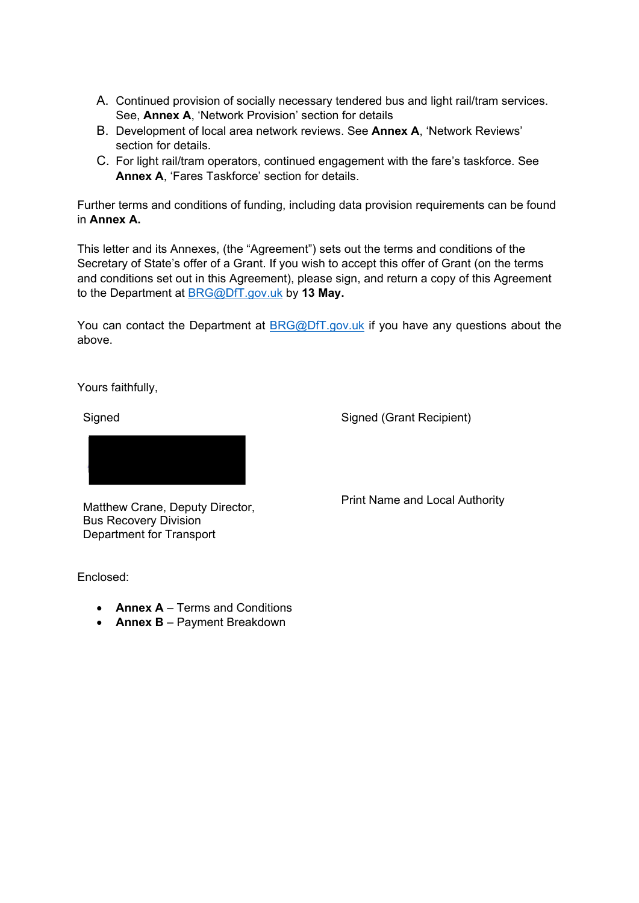- A. Continued provision of socially necessary tendered bus and light rail/tram services. See, **Annex A**, 'Network Provision' section for details
- B. Development of local area network reviews. See **Annex A**, 'Network Reviews' section for details.
- C. For light rail/tram operators, continued engagement with the fare's taskforce. See **Annex A**, 'Fares Taskforce' section for details.

Further terms and conditions of funding, including data provision requirements can be found in **Annex A.** 

This letter and its Annexes, (the "Agreement") sets out the terms and conditions of the Secretary of State's offer of a Grant. If you wish to accept this offer of Grant (on the terms and conditions set out in this Agreement), please sign, and return a copy of this Agreement to the Department at BRG@DfT.gov.uk by **13 May.**

You can contact the Department at BRG@DfT.gov.uk if you have any questions about the above.

Yours faithfully,

**Signed** 

Signed (Grant Recipient)



Matthew Crane, Deputy Director, Bus Recovery Division Department for Transport

Enclosed:

- **Annex A**  Terms and Conditions
- **Annex B** Payment Breakdown

Print Name and Local Authority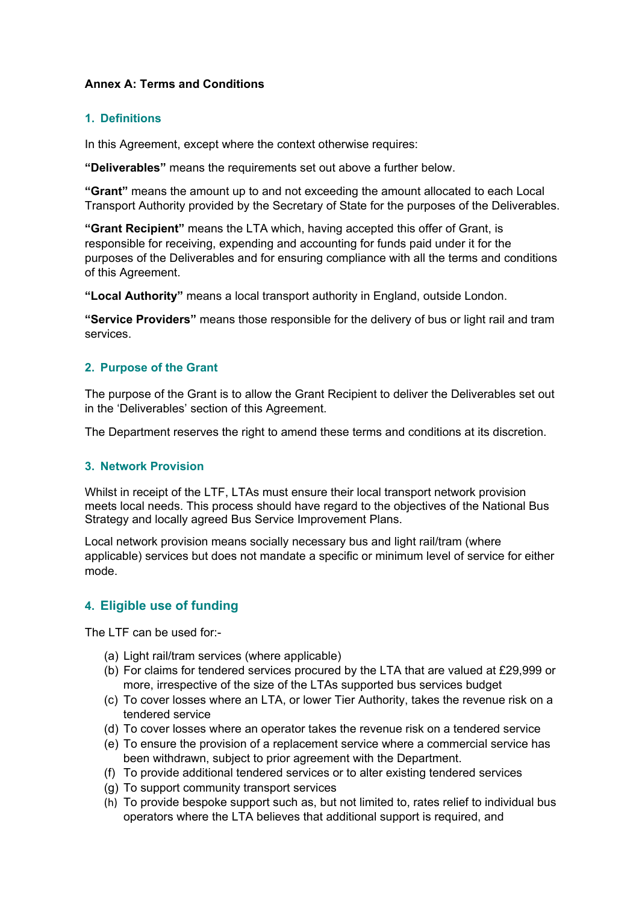# **Annex A: Terms and Conditions**

# **1. Definitions**

In this Agreement, except where the context otherwise requires:

**"Deliverables"** means the requirements set out above a further below.

**"Grant"** means the amount up to and not exceeding the amount allocated to each Local Transport Authority provided by the Secretary of State for the purposes of the Deliverables.

**"Grant Recipient"** means the LTA which, having accepted this offer of Grant, is responsible for receiving, expending and accounting for funds paid under it for the purposes of the Deliverables and for ensuring compliance with all the terms and conditions of this Agreement.

**"Local Authority"** means a local transport authority in England, outside London.

**"Service Providers"** means those responsible for the delivery of bus or light rail and tram services.

# **2. Purpose of the Grant**

The purpose of the Grant is to allow the Grant Recipient to deliver the Deliverables set out in the 'Deliverables' section of this Agreement.

The Department reserves the right to amend these terms and conditions at its discretion.

### **3. Network Provision**

Whilst in receipt of the LTF, LTAs must ensure their local transport network provision meets local needs. This process should have regard to the objectives of the National Bus Strategy and locally agreed Bus Service Improvement Plans.

Local network provision means socially necessary bus and light rail/tram (where applicable) services but does not mandate a specific or minimum level of service for either mode.

# **4. Eligible use of funding**

The LTF can be used for-

- (a) Light rail/tram services (where applicable)
- (b) For claims for tendered services procured by the LTA that are valued at £29,999 or more, irrespective of the size of the LTAs supported bus services budget
- (c) To cover losses where an LTA, or lower Tier Authority, takes the revenue risk on a tendered service
- (d) To cover losses where an operator takes the revenue risk on a tendered service
- (e) To ensure the provision of a replacement service where a commercial service has been withdrawn, subject to prior agreement with the Department.
- (f) To provide additional tendered services or to alter existing tendered services
- (g) To support community transport services
- (h) To provide bespoke support such as, but not limited to, rates relief to individual bus operators where the LTA believes that additional support is required, and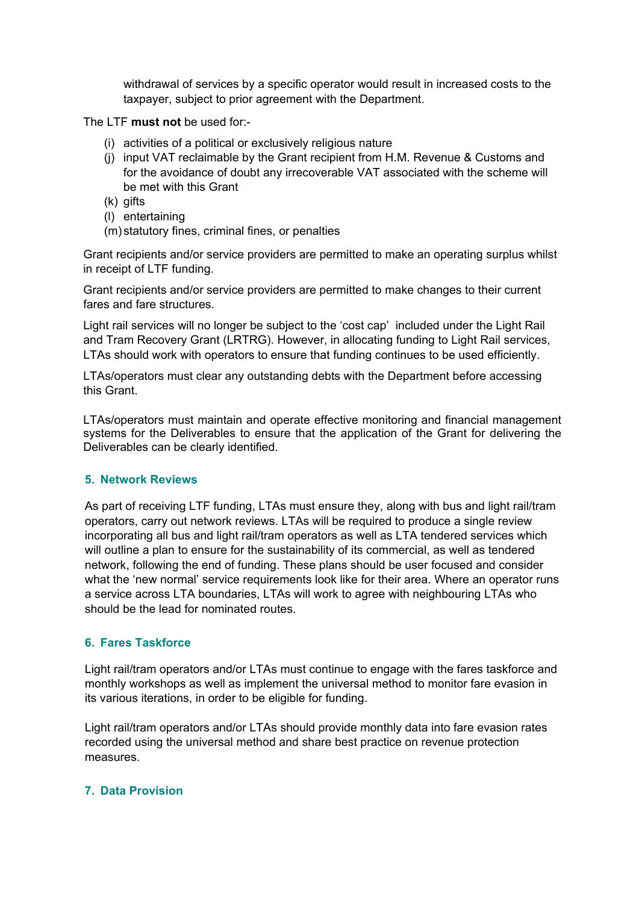withdrawal of services by a specific operator would result in increased costs to the taxpayer, subject to prior agreement with the Department.

The LTF **must not** be used for:-

- (i) activities of a political or exclusively religious nature
- (j) input VAT reclaimable by the Grant recipient from H.M. Revenue & Customs and for the avoidance of doubt any irrecoverable VAT associated with the scheme will be met with this Grant
- (k) gifts
- (l) entertaining
- (m) statutory fines, criminal fines, or penalties

Grant recipients and/or service providers are permitted to make an operating surplus whilst in receipt of LTF funding.

Grant recipients and/or service providers are permitted to make changes to their current fares and fare structures.

Light rail services will no longer be subject to the 'cost cap' included under the Light Rail and Tram Recovery Grant (LRTRG). However, in allocating funding to Light Rail services, LTAs should work with operators to ensure that funding continues to be used efficiently.

LTAs/operators must clear any outstanding debts with the Department before accessing this Grant.

LTAs/operators must maintain and operate effective monitoring and financial management systems for the Deliverables to ensure that the application of the Grant for delivering the Deliverables can be clearly identified.

### **5. Network Reviews**

As part of receiving LTF funding, LTAs must ensure they, along with bus and light rail/tram operators, carry out network reviews. LTAs will be required to produce a single review incorporating all bus and light rail/tram operators as well as LTA tendered services which will outline a plan to ensure for the sustainability of its commercial, as well as tendered network, following the end of funding. These plans should be user focused and consider what the 'new normal' service requirements look like for their area. Where an operator runs a service across LTA boundaries, LTAs will work to agree with neighbouring LTAs who should be the lead for nominated routes.

### **6. Fares Taskforce**

Light rail/tram operators and/or LTAs must continue to engage with the fares taskforce and monthly workshops as well as implement the universal method to monitor fare evasion in its various iterations, in order to be eligible for funding.

Light rail/tram operators and/or LTAs should provide monthly data into fare evasion rates recorded using the universal method and share best practice on revenue protection measures.

### **7. Data Provision**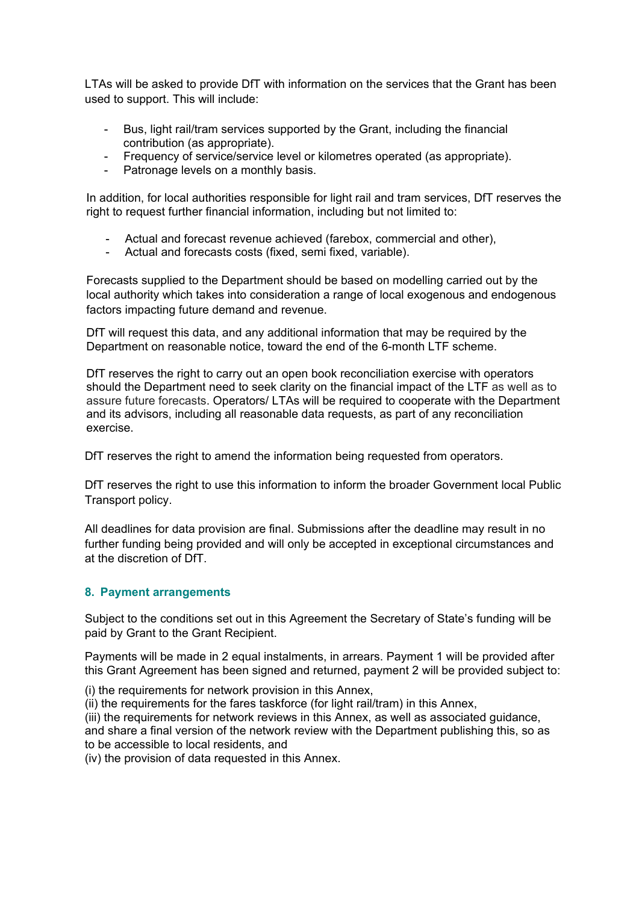LTAs will be asked to provide DfT with information on the services that the Grant has been used to support. This will include:

- Bus, light rail/tram services supported by the Grant, including the financial contribution (as appropriate).
- Frequency of service/service level or kilometres operated (as appropriate).
- Patronage levels on a monthly basis.

In addition, for local authorities responsible for light rail and tram services, DfT reserves the right to request further financial information, including but not limited to:

- Actual and forecast revenue achieved (farebox, commercial and other),
- Actual and forecasts costs (fixed, semi fixed, variable).

Forecasts supplied to the Department should be based on modelling carried out by the local authority which takes into consideration a range of local exogenous and endogenous factors impacting future demand and revenue.

DfT will request this data, and any additional information that may be required by the Department on reasonable notice, toward the end of the 6-month LTF scheme.

DfT reserves the right to carry out an open book reconciliation exercise with operators should the Department need to seek clarity on the financial impact of the LTF as well as to assure future forecasts. Operators/ LTAs will be required to cooperate with the Department and its advisors, including all reasonable data requests, as part of any reconciliation exercise.

DfT reserves the right to amend the information being requested from operators.

DfT reserves the right to use this information to inform the broader Government local Public Transport policy.

All deadlines for data provision are final. Submissions after the deadline may result in no further funding being provided and will only be accepted in exceptional circumstances and at the discretion of DfT.

# **8. Payment arrangements**

Subject to the conditions set out in this Agreement the Secretary of State's funding will be paid by Grant to the Grant Recipient.

Payments will be made in 2 equal instalments, in arrears. Payment 1 will be provided after this Grant Agreement has been signed and returned, payment 2 will be provided subject to:

(i) the requirements for network provision in this Annex,

(ii) the requirements for the fares taskforce (for light rail/tram) in this Annex,

(iii) the requirements for network reviews in this Annex, as well as associated guidance, and share a final version of the network review with the Department publishing this, so as to be accessible to local residents, and

(iv) the provision of data requested in this Annex.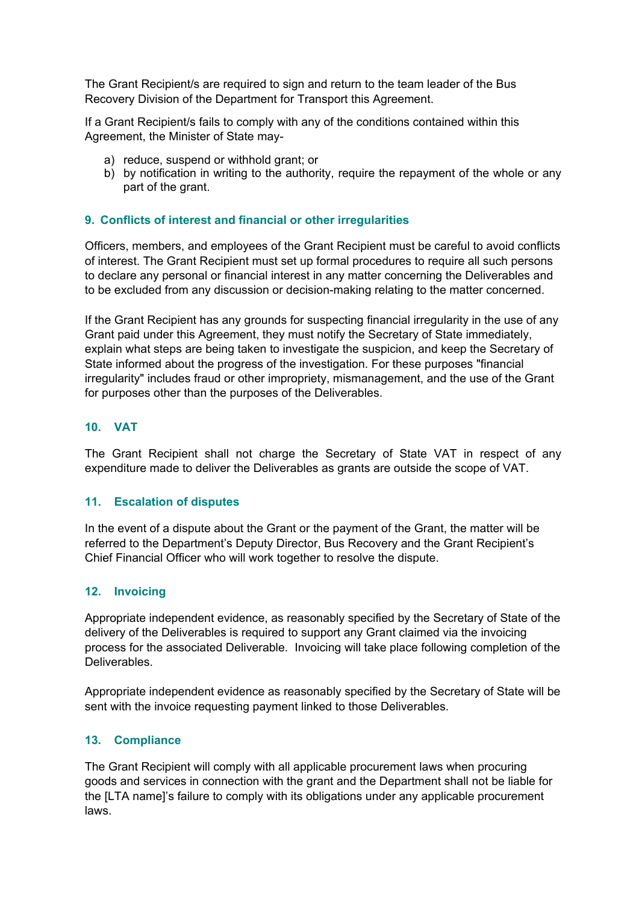The Grant Recipient/s are required to sign and return to the team leader of the Bus Recovery Division of the Department for Transport this Agreement.

If a Grant Recipient/s fails to comply with any of the conditions contained within this Agreement, the Minister of State may-

- a) reduce, suspend or withhold grant; or
- b) by notification in writing to the authority, require the repayment of the whole or any part of the grant.

### **9. Conflicts of interest and financial or other irregularities**

Officers, members, and employees of the Grant Recipient must be careful to avoid conflicts of interest. The Grant Recipient must set up formal procedures to require all such persons to declare any personal or financial interest in any matter concerning the Deliverables and to be excluded from any discussion or decision-making relating to the matter concerned.

If the Grant Recipient has any grounds for suspecting financial irregularity in the use of any Grant paid under this Agreement, they must notify the Secretary of State immediately, explain what steps are being taken to investigate the suspicion, and keep the Secretary of State informed about the progress of the investigation. For these purposes "financial irregularity" includes fraud or other impropriety, mismanagement, and the use of the Grant for purposes other than the purposes of the Deliverables.

### **10. VAT**

The Grant Recipient shall not charge the Secretary of State VAT in respect of any expenditure made to deliver the Deliverables as grants are outside the scope of VAT.

### **11. Escalation of disputes**

In the event of a dispute about the Grant or the payment of the Grant, the matter will be referred to the Department's Deputy Director, Bus Recovery and the Grant Recipient's Chief Financial Officer who will work together to resolve the dispute.

### **12. Invoicing**

Appropriate independent evidence, as reasonably specified by the Secretary of State of the delivery of the Deliverables is required to support any Grant claimed via the invoicing process for the associated Deliverable. Invoicing will take place following completion of the Deliverables.

Appropriate independent evidence as reasonably specified by the Secretary of State will be sent with the invoice requesting payment linked to those Deliverables.

### **13. Compliance**

The Grant Recipient will comply with all applicable procurement laws when procuring goods and services in connection with the grant and the Department shall not be liable for the [LTA name]'s failure to comply with its obligations under any applicable procurement laws.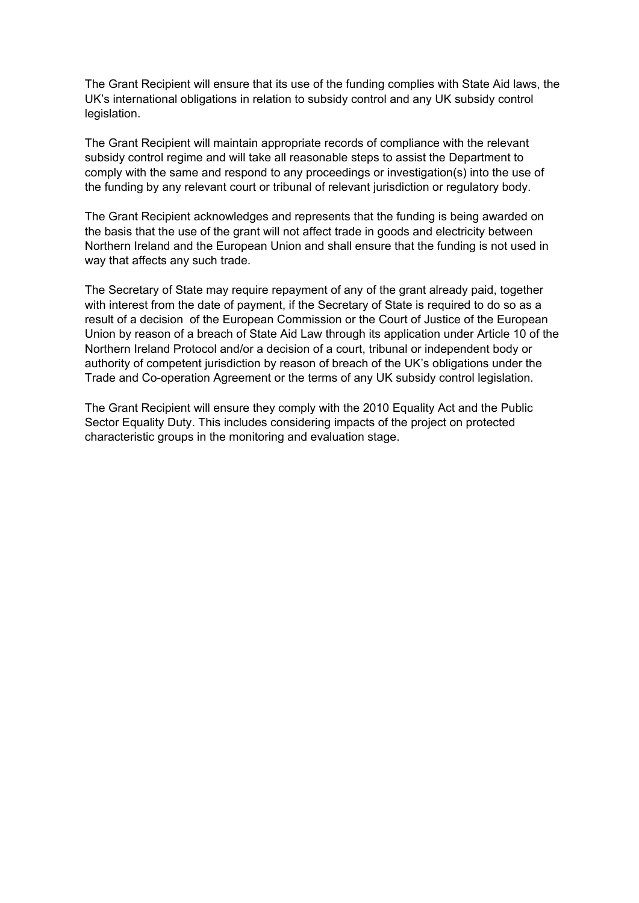The Grant Recipient will ensure that its use of the funding complies with State Aid laws, the UK's international obligations in relation to subsidy control and any UK subsidy control legislation.

The Grant Recipient will maintain appropriate records of compliance with the relevant subsidy control regime and will take all reasonable steps to assist the Department to comply with the same and respond to any proceedings or investigation(s) into the use of the funding by any relevant court or tribunal of relevant jurisdiction or regulatory body.

The Grant Recipient acknowledges and represents that the funding is being awarded on the basis that the use of the grant will not affect trade in goods and electricity between Northern Ireland and the European Union and shall ensure that the funding is not used in way that affects any such trade.

The Secretary of State may require repayment of any of the grant already paid, together with interest from the date of payment, if the Secretary of State is required to do so as a result of a decision of the European Commission or the Court of Justice of the European Union by reason of a breach of State Aid Law through its application under Article 10 of the Northern Ireland Protocol and/or a decision of a court, tribunal or independent body or authority of competent jurisdiction by reason of breach of the UK's obligations under the Trade and Co-operation Agreement or the terms of any UK subsidy control legislation.

The Grant Recipient will ensure they comply with the 2010 Equality Act and the Public Sector Equality Duty. This includes considering impacts of the project on protected characteristic groups in the monitoring and evaluation stage.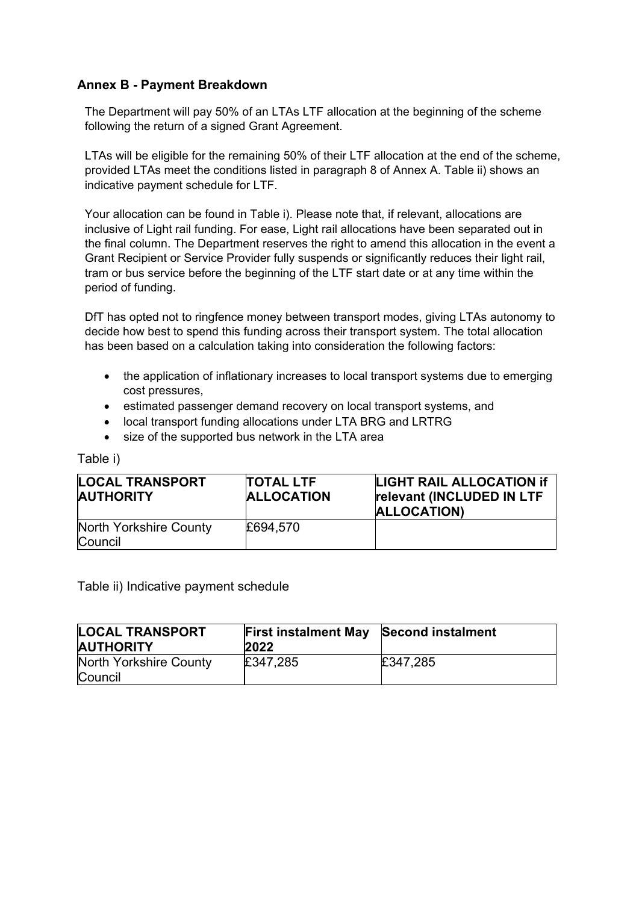# **Annex B - Payment Breakdown**

The Department will pay 50% of an LTAs LTF allocation at the beginning of the scheme following the return of a signed Grant Agreement.

LTAs will be eligible for the remaining 50% of their LTF allocation at the end of the scheme, provided LTAs meet the conditions listed in paragraph 8 of Annex A. Table ii) shows an indicative payment schedule for LTF.

Your allocation can be found in Table i). Please note that, if relevant, allocations are inclusive of Light rail funding. For ease, Light rail allocations have been separated out in the final column. The Department reserves the right to amend this allocation in the event a Grant Recipient or Service Provider fully suspends or significantly reduces their light rail, tram or bus service before the beginning of the LTF start date or at any time within the period of funding.

DfT has opted not to ringfence money between transport modes, giving LTAs autonomy to decide how best to spend this funding across their transport system. The total allocation has been based on a calculation taking into consideration the following factors:

- the application of inflationary increases to local transport systems due to emerging cost pressures,
- estimated passenger demand recovery on local transport systems, and
- local transport funding allocations under LTA BRG and LRTRG
- size of the supported bus network in the LTA area

### Table i)

| <b>LOCAL TRANSPORT</b><br><b>AUTHORITY</b> | <b>TOTAL LTF</b><br><b>ALLOCATION</b> | <b>LIGHT RAIL ALLOCATION If</b><br>relevant (INCLUDED IN LTF<br>ALLOCATION) |
|--------------------------------------------|---------------------------------------|-----------------------------------------------------------------------------|
| North Yorkshire County<br><b>Council</b>   | £694,570                              |                                                                             |

Table ii) Indicative payment schedule

| <b>LOCAL TRANSPORT</b><br><b>AUTHORITY</b> | <b>First instalment May Second instalment</b><br>2022 |          |
|--------------------------------------------|-------------------------------------------------------|----------|
| North Yorkshire County<br>Council          | £347,285                                              | £347,285 |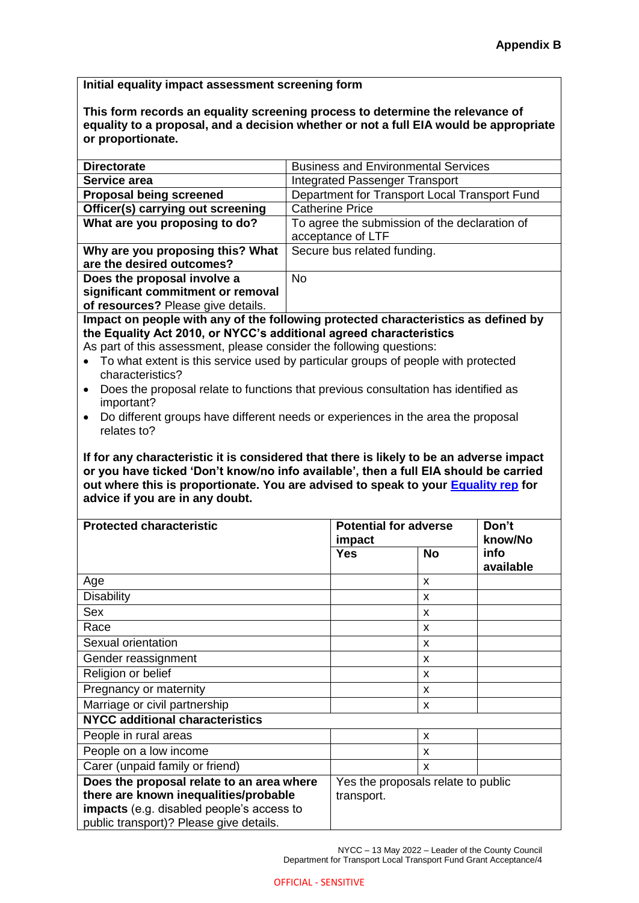**Initial equality impact assessment screening form**

**This form records an equality screening process to determine the relevance of equality to a proposal, and a decision whether or not a full EIA would be appropriate or proportionate.** 

| <b>Directorate</b>                                                                                                                                                              | <b>Business and Environmental Services</b>    |                                    |                 |  |  |
|---------------------------------------------------------------------------------------------------------------------------------------------------------------------------------|-----------------------------------------------|------------------------------------|-----------------|--|--|
| Service area                                                                                                                                                                    | <b>Integrated Passenger Transport</b>         |                                    |                 |  |  |
| <b>Proposal being screened</b>                                                                                                                                                  | Department for Transport Local Transport Fund |                                    |                 |  |  |
| Officer(s) carrying out screening                                                                                                                                               | <b>Catherine Price</b>                        |                                    |                 |  |  |
| What are you proposing to do?                                                                                                                                                   | To agree the submission of the declaration of |                                    |                 |  |  |
|                                                                                                                                                                                 | acceptance of LTF                             |                                    |                 |  |  |
| Why are you proposing this? What<br>Secure bus related funding.<br>are the desired outcomes?                                                                                    |                                               |                                    |                 |  |  |
| Does the proposal involve a                                                                                                                                                     | <b>No</b>                                     |                                    |                 |  |  |
| significant commitment or removal                                                                                                                                               |                                               |                                    |                 |  |  |
| of resources? Please give details.                                                                                                                                              |                                               |                                    |                 |  |  |
| Impact on people with any of the following protected characteristics as defined by                                                                                              |                                               |                                    |                 |  |  |
| the Equality Act 2010, or NYCC's additional agreed characteristics                                                                                                              |                                               |                                    |                 |  |  |
| As part of this assessment, please consider the following questions:                                                                                                            |                                               |                                    |                 |  |  |
| To what extent is this service used by particular groups of people with protected<br>$\bullet$<br>characteristics?                                                              |                                               |                                    |                 |  |  |
| Does the proposal relate to functions that previous consultation has identified as<br>$\bullet$                                                                                 |                                               |                                    |                 |  |  |
| important?                                                                                                                                                                      |                                               |                                    |                 |  |  |
| Do different groups have different needs or experiences in the area the proposal<br>$\bullet$                                                                                   |                                               |                                    |                 |  |  |
| relates to?                                                                                                                                                                     |                                               |                                    |                 |  |  |
| If for any characteristic it is considered that there is likely to be an adverse impact<br>or you have ticked 'Don't know/no info available', then a full EIA should be carried |                                               |                                    |                 |  |  |
| out where this is proportionate. You are advised to speak to your <b>Equality rep</b> for<br>advice if you are in any doubt.<br><b>Protected characteristic</b>                 |                                               | Potential for adverse              | Don't           |  |  |
|                                                                                                                                                                                 | impact<br><b>Yes</b>                          | <b>No</b>                          | know/No<br>info |  |  |
|                                                                                                                                                                                 |                                               |                                    | available       |  |  |
| Age                                                                                                                                                                             |                                               | X                                  |                 |  |  |
| <b>Disability</b>                                                                                                                                                               |                                               | x                                  |                 |  |  |
| Sex                                                                                                                                                                             |                                               | x                                  |                 |  |  |
| Race                                                                                                                                                                            |                                               | x                                  |                 |  |  |
| Sexual orientation                                                                                                                                                              |                                               | х                                  |                 |  |  |
| Gender reassignment                                                                                                                                                             |                                               | X                                  |                 |  |  |
| Religion or belief                                                                                                                                                              |                                               | x                                  |                 |  |  |
| Pregnancy or maternity                                                                                                                                                          |                                               | X                                  |                 |  |  |
| Marriage or civil partnership                                                                                                                                                   |                                               | x                                  |                 |  |  |
| <b>NYCC additional characteristics</b>                                                                                                                                          |                                               |                                    |                 |  |  |
| People in rural areas                                                                                                                                                           |                                               | x                                  |                 |  |  |
| People on a low income                                                                                                                                                          |                                               | x                                  |                 |  |  |
| Carer (unpaid family or friend)                                                                                                                                                 |                                               | X                                  |                 |  |  |
| Does the proposal relate to an area where                                                                                                                                       |                                               | Yes the proposals relate to public |                 |  |  |
| there are known inequalities/probable                                                                                                                                           | transport.                                    |                                    |                 |  |  |
| impacts (e.g. disabled people's access to<br>public transport)? Please give details.                                                                                            |                                               |                                    |                 |  |  |

NYCC – 13 May 2022 – Leader of the County Council Department for Transport Local Transport Fund Grant Acceptance/4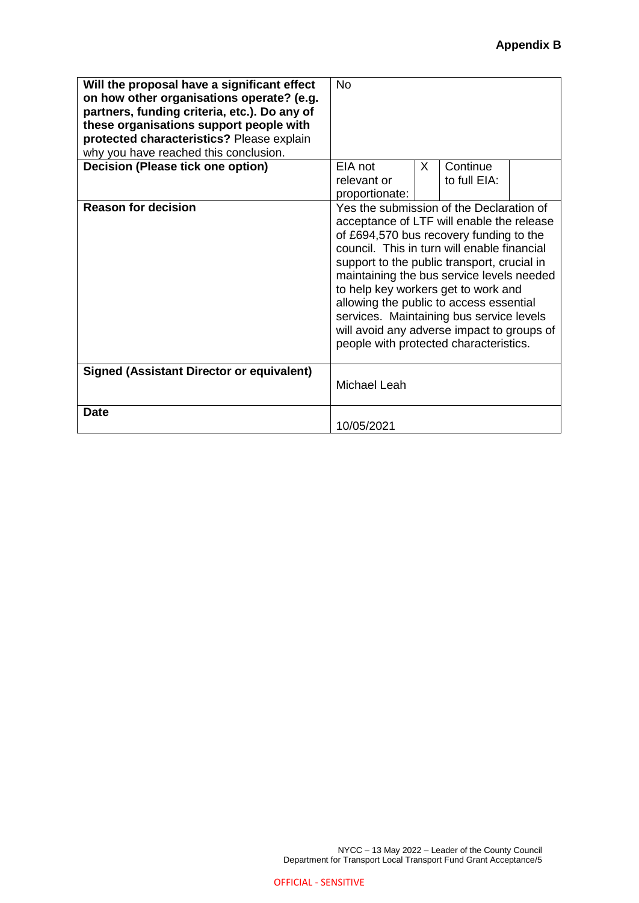| Will the proposal have a significant effect<br>on how other organisations operate? (e.g.<br>partners, funding criteria, etc.). Do any of<br>these organisations support people with<br>protected characteristics? Please explain<br>why you have reached this conclusion. | <b>No</b>                                                                                                                                                                                                                                                                                                                                                                                                                                                                                         |   |              |  |
|---------------------------------------------------------------------------------------------------------------------------------------------------------------------------------------------------------------------------------------------------------------------------|---------------------------------------------------------------------------------------------------------------------------------------------------------------------------------------------------------------------------------------------------------------------------------------------------------------------------------------------------------------------------------------------------------------------------------------------------------------------------------------------------|---|--------------|--|
| Decision (Please tick one option)                                                                                                                                                                                                                                         | EIA not                                                                                                                                                                                                                                                                                                                                                                                                                                                                                           | X | Continue     |  |
|                                                                                                                                                                                                                                                                           | relevant or                                                                                                                                                                                                                                                                                                                                                                                                                                                                                       |   | to full EIA: |  |
|                                                                                                                                                                                                                                                                           | proportionate:                                                                                                                                                                                                                                                                                                                                                                                                                                                                                    |   |              |  |
| <b>Reason for decision</b>                                                                                                                                                                                                                                                | Yes the submission of the Declaration of<br>acceptance of LTF will enable the release<br>of £694,570 bus recovery funding to the<br>council. This in turn will enable financial<br>support to the public transport, crucial in<br>maintaining the bus service levels needed<br>to help key workers get to work and<br>allowing the public to access essential<br>services. Maintaining bus service levels<br>will avoid any adverse impact to groups of<br>people with protected characteristics. |   |              |  |
| Signed (Assistant Director or equivalent)                                                                                                                                                                                                                                 | Michael Leah                                                                                                                                                                                                                                                                                                                                                                                                                                                                                      |   |              |  |
| <b>Date</b>                                                                                                                                                                                                                                                               |                                                                                                                                                                                                                                                                                                                                                                                                                                                                                                   |   |              |  |
|                                                                                                                                                                                                                                                                           | 10/05/2021                                                                                                                                                                                                                                                                                                                                                                                                                                                                                        |   |              |  |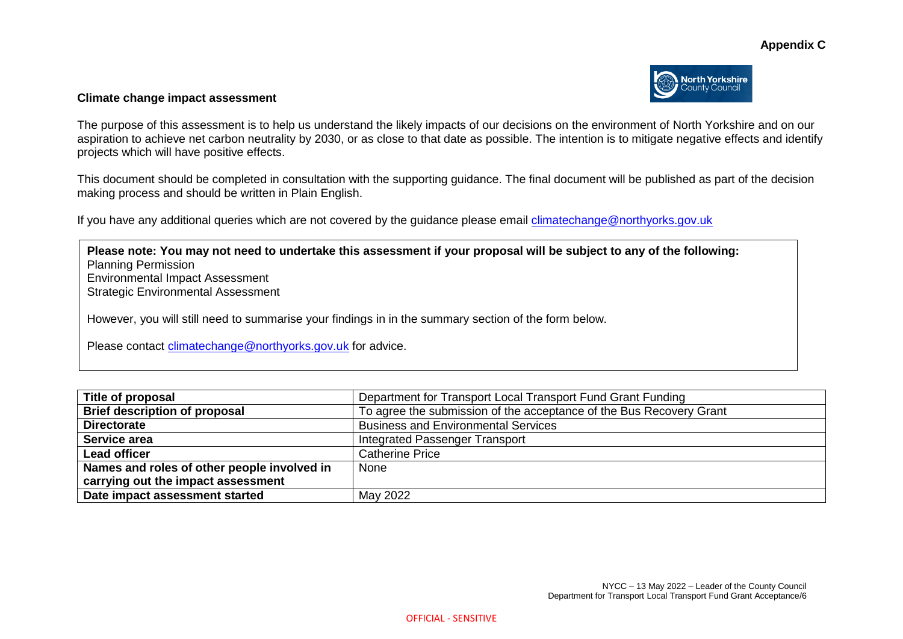#### **Appendix C**



#### **Climate change impact assessment**

The purpose of this assessment is to help us understand the likely impacts of our decisions on the environment of North Yorkshire and on our aspiration to achieve net carbon neutrality by 2030, or as close to that date as possible. The intention is to mitigate negative effects and identify projects which will have positive effects.

This document should be completed in consultation with the supporting guidance. The final document will be published as part of the decision making process and should be written in Plain English.

If you have any additional queries which are not covered by the guidance please email climatechange@northyorks.gov.uk

**Please note: You may not need to undertake this assessment if your proposal will be subject to any of the following:**  Planning Permission Environmental Impact Assessment Strategic Environmental Assessment However, you will still need to summarise your findings in in the summary section of the form below. Please contact [climatechange@northyorks.gov.uk](mailto:climatechange@northyorks.gov.uk) for advice.

| Title of proposal                           | Department for Transport Local Transport Fund Grant Funding         |
|---------------------------------------------|---------------------------------------------------------------------|
| <b>Brief description of proposal</b>        | To agree the submission of the acceptance of the Bus Recovery Grant |
| <b>Directorate</b>                          | <b>Business and Environmental Services</b>                          |
| Service area                                | Integrated Passenger Transport                                      |
| <b>Lead officer</b>                         | <b>Catherine Price</b>                                              |
| Names and roles of other people involved in | None                                                                |
| carrying out the impact assessment          |                                                                     |
| Date impact assessment started              | May 2022                                                            |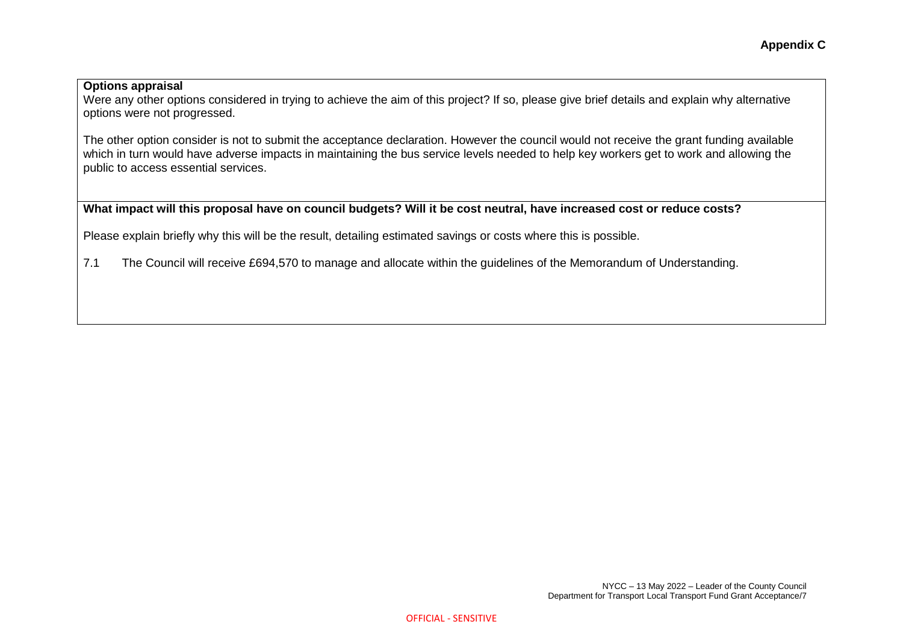#### **Options appraisal**

Were any other options considered in trying to achieve the aim of this project? If so, please give brief details and explain why alternative options were not progressed.

The other option consider is not to submit the acceptance declaration. However the council would not receive the grant funding available which in turn would have adverse impacts in maintaining the bus service levels needed to help key workers get to work and allowing the public to access essential services.

# **What impact will this proposal have on council budgets? Will it be cost neutral, have increased cost or reduce costs?**

Please explain briefly why this will be the result, detailing estimated savings or costs where this is possible.

7.1 The Council will receive £694,570 to manage and allocate within the guidelines of the Memorandum of Understanding.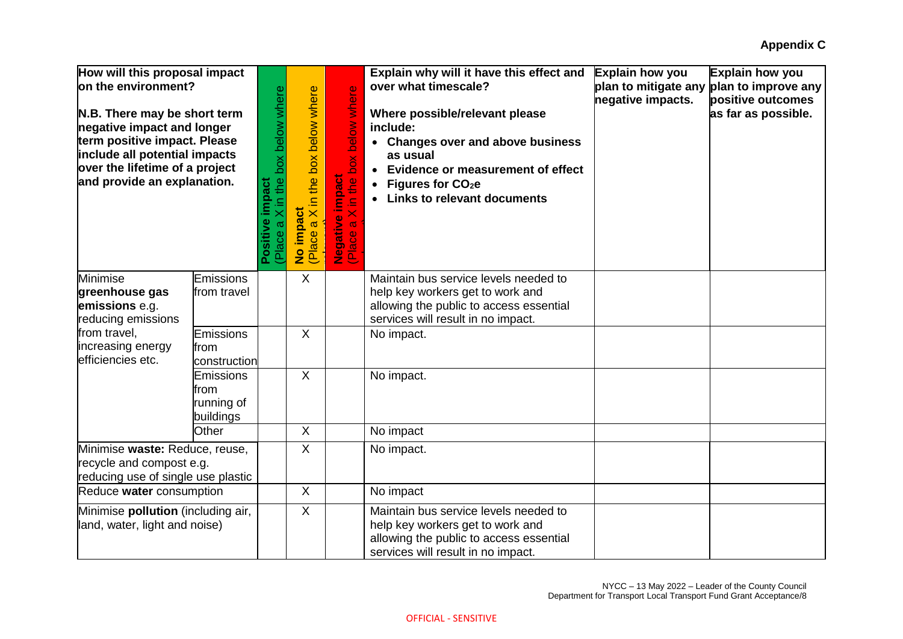| How will this proposal impact<br>lon the environment?<br>N.B. There may be short term<br>negative impact and longer<br>term positive impact. Please<br>include all potential impacts<br>over the lifetime of a project<br>and provide an explanation. |                                                     | Place a X in the box below where<br>impact<br>Positive | a X in the box below where<br>No impact<br>(Place a X i | box below where<br><b>Negative impact</b><br>(Place a X in the l<br>the<br>$\overline{8}$ | Explain why will it have this effect and<br>over what timescale?<br>Where possible/relevant please<br>include:<br>• Changes over and above business<br>as usual<br><b>Evidence or measurement of effect</b><br>Figures for CO <sub>2</sub> e<br><b>Links to relevant documents</b> | Explain how you<br>negative impacts. | Explain how you<br>plan to mitigate any plan to improve any<br>positive outcomes<br>as far as possible. |
|-------------------------------------------------------------------------------------------------------------------------------------------------------------------------------------------------------------------------------------------------------|-----------------------------------------------------|--------------------------------------------------------|---------------------------------------------------------|-------------------------------------------------------------------------------------------|------------------------------------------------------------------------------------------------------------------------------------------------------------------------------------------------------------------------------------------------------------------------------------|--------------------------------------|---------------------------------------------------------------------------------------------------------|
| <b>Minimise</b><br>greenhouse gas<br>emissions e.g.<br>reducing emissions                                                                                                                                                                             | <b>Emissions</b><br>from travel                     |                                                        | X                                                       |                                                                                           | Maintain bus service levels needed to<br>help key workers get to work and<br>allowing the public to access essential<br>services will result in no impact.                                                                                                                         |                                      |                                                                                                         |
| from travel.<br>increasing energy<br>efficiencies etc.                                                                                                                                                                                                | Emissions<br>from<br>construction                   |                                                        | $\sf X$                                                 |                                                                                           | No impact.                                                                                                                                                                                                                                                                         |                                      |                                                                                                         |
|                                                                                                                                                                                                                                                       | <b>Emissions</b><br>from<br>running of<br>buildings |                                                        | $\sf X$                                                 |                                                                                           | No impact.                                                                                                                                                                                                                                                                         |                                      |                                                                                                         |
|                                                                                                                                                                                                                                                       | <b>Other</b>                                        |                                                        | X                                                       |                                                                                           | No impact                                                                                                                                                                                                                                                                          |                                      |                                                                                                         |
| Minimise waste: Reduce, reuse,<br>recycle and compost e.g.<br>reducing use of single use plastic                                                                                                                                                      |                                                     |                                                        | X                                                       |                                                                                           | No impact.                                                                                                                                                                                                                                                                         |                                      |                                                                                                         |
| Reduce water consumption                                                                                                                                                                                                                              |                                                     |                                                        | X                                                       |                                                                                           | No impact                                                                                                                                                                                                                                                                          |                                      |                                                                                                         |
| Minimise pollution (including air,<br>land, water, light and noise)                                                                                                                                                                                   |                                                     |                                                        | X                                                       |                                                                                           | Maintain bus service levels needed to<br>help key workers get to work and<br>allowing the public to access essential<br>services will result in no impact.                                                                                                                         |                                      |                                                                                                         |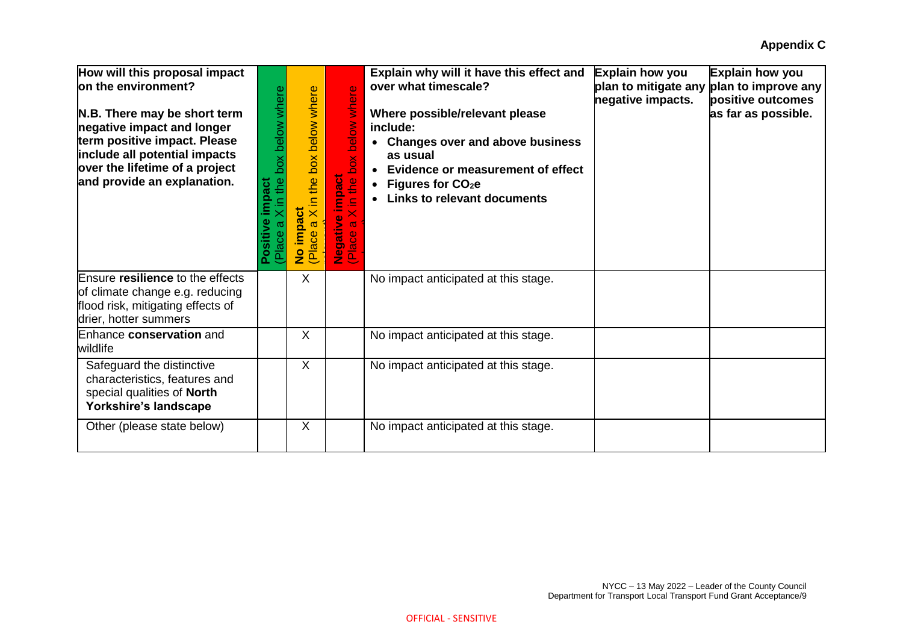| How will this proposal impact<br>lon the environment?<br>N.B. There may be short term<br>negative impact and longer<br>term positive impact. Please<br>include all potential impacts<br>over the lifetime of a project<br>and provide an explanation. | the box below where<br>impact<br>≘<br>Positive<br>(Place | X in the box below where<br>impact<br>$\omega$<br>lace<br>$\frac{9}{2}$<br>叵 | where<br>below<br>box<br><b>impact</b><br>$\bullet$<br>흑<br>Negative<br>(Place a X | Explain why will it have this effect and<br>over what timescale?<br>Where possible/relevant please<br>include:<br>• Changes over and above business<br>as usual<br>• Evidence or measurement of effect<br>• Figures for $CO2e$<br><b>Links to relevant documents</b> | Explain how you<br>negative impacts. | Explain how you<br>plan to mitigate any plan to improve any<br>positive outcomes<br>as far as possible. |
|-------------------------------------------------------------------------------------------------------------------------------------------------------------------------------------------------------------------------------------------------------|----------------------------------------------------------|------------------------------------------------------------------------------|------------------------------------------------------------------------------------|----------------------------------------------------------------------------------------------------------------------------------------------------------------------------------------------------------------------------------------------------------------------|--------------------------------------|---------------------------------------------------------------------------------------------------------|
| Ensure resilience to the effects<br>of climate change e.g. reducing<br>flood risk, mitigating effects of<br>drier, hotter summers                                                                                                                     |                                                          | X                                                                            |                                                                                    | No impact anticipated at this stage.                                                                                                                                                                                                                                 |                                      |                                                                                                         |
| Enhance conservation and<br>wildlife                                                                                                                                                                                                                  |                                                          | X                                                                            |                                                                                    | No impact anticipated at this stage.                                                                                                                                                                                                                                 |                                      |                                                                                                         |
| Safeguard the distinctive<br>characteristics, features and<br>special qualities of North<br>Yorkshire's landscape                                                                                                                                     |                                                          | X                                                                            |                                                                                    | No impact anticipated at this stage.                                                                                                                                                                                                                                 |                                      |                                                                                                         |
| Other (please state below)                                                                                                                                                                                                                            |                                                          | $\sf X$                                                                      |                                                                                    | No impact anticipated at this stage.                                                                                                                                                                                                                                 |                                      |                                                                                                         |